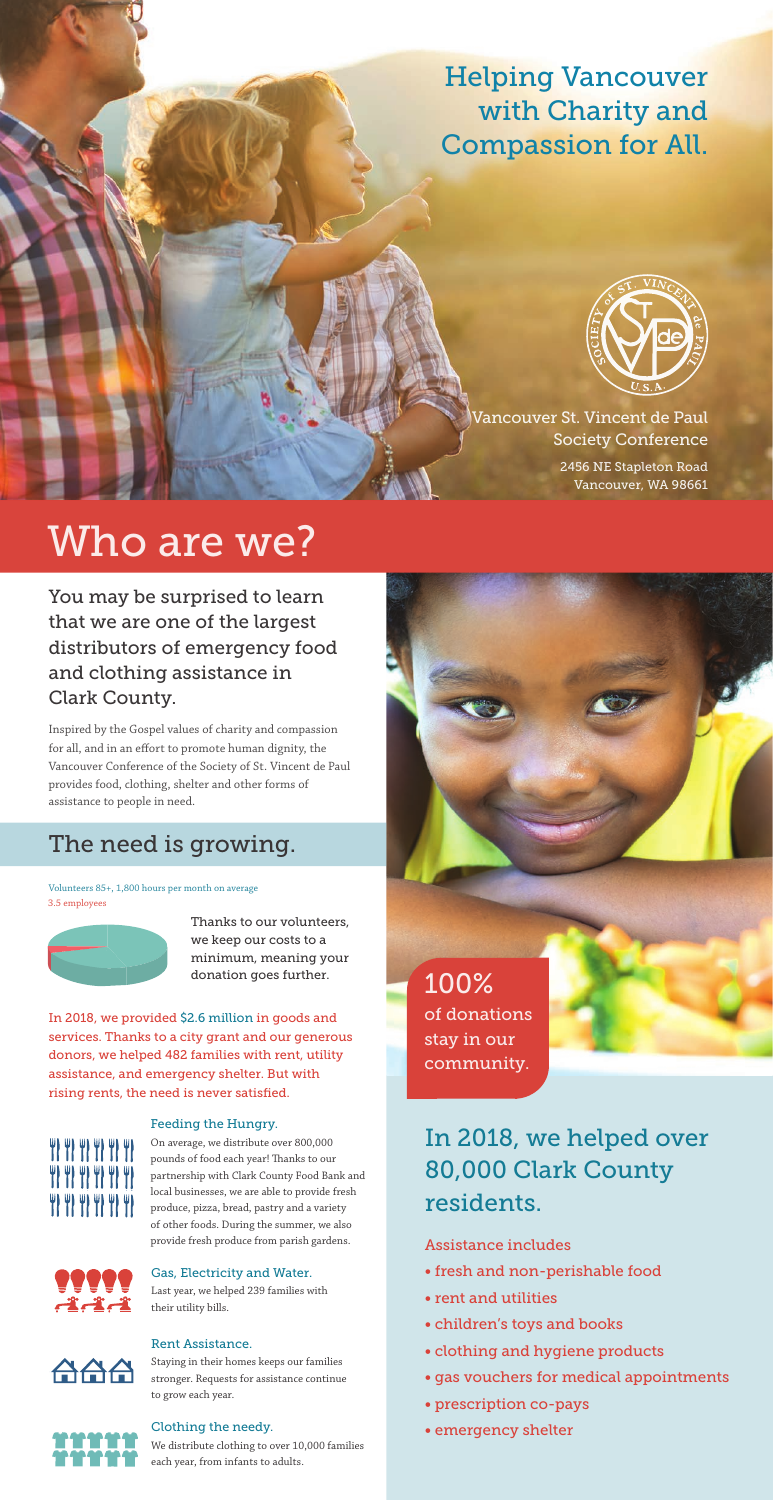Helping Vancouver with Charity and Compassion for All.



Vancouver St. Vincent de Paul Society Conference

You may be surprised to learn that we are one of the largest distributors of emergency food and clothing assistance in Clark County.

Inspired by the Gospel values of charity and compassion for all, and in an effort to promote human dignity, the Vancouver Conference of the Society of St. Vincent de Paul provides food, clothing, shelter and other forms of assistance to people in need.

> Thanks to our volunteers, we keep our costs to a minimum, meaning your donation goes further.<br>
> 100%

> > In 2018, we helped over 80,000 Clark County residents.

4) 4) 4) 4) 4) 4) **TP TP TP TP TP TP TP TP TP TP TP** 

#### Assistance includes

- fresh and non-perishable food
- rent and utilities
- children's toys and books
- clothing and hygiene products
- gas vouchers for medical appointments
- prescription co-pays
- emergency shelter

# Who are we?

### The need is growing.

of donations stay in our community.

Volunteers 85+, 1,800 hours per month on average 3.5 employees



Feeding the Hungry.



On average, we distribute over 800,000 pounds of food each year! Thanks to our partnership with Clark County Food Bank and local businesses, we are able to provide fresh produce, pizza, bread, pastry and a variety of other foods. During the summer, we also provide fresh produce from parish gardens.



Gas, Electricity and Water.

Last year, we helped 239 families with their utility bills.

#### Rent Assistance.



Staying in their homes keeps our families stronger. Requests for assistance continue to grow each year.

#### Clothing the needy.

We distribute clothing to over 10,000 families each year, from infants to adults.

In 2018, we provided \$2.6 million in goods and services. Thanks to a city grant and our generous donors, we helped 482 families with rent, utility assistance, and emergency shelter. But with rising rents, the need is never satisfied.

2456 NE Stapleton Road Vancouver, WA 98661